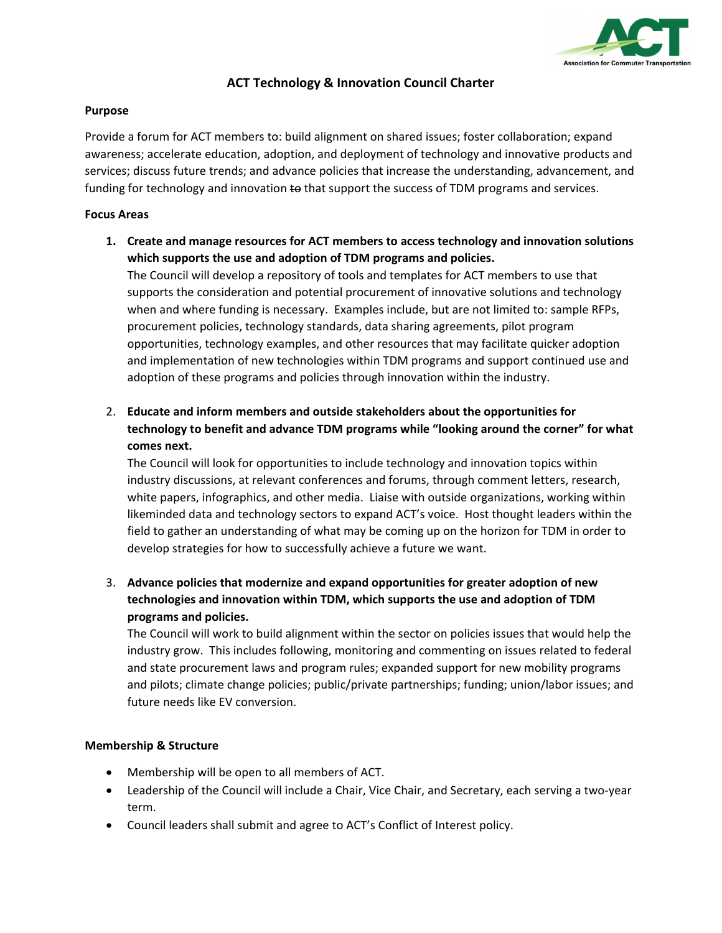

# **ACT Technology & Innovation Council Charter**

#### **Purpose**

Provide a forum for ACT members to: build alignment on shared issues; foster collaboration; expand awareness; accelerate education, adoption, and deployment of technology and innovative products and services; discuss future trends; and advance policies that increase the understanding, advancement, and funding for technology and innovation to that support the success of TDM programs and services.

#### **Focus Areas**

**1. Create and manage resources for ACT members to access technology and innovation solutions which supports the use and adoption of TDM programs and policies.** 

The Council will develop a repository of tools and templates for ACT members to use that supports the consideration and potential procurement of innovative solutions and technology when and where funding is necessary. Examples include, but are not limited to: sample RFPs, procurement policies, technology standards, data sharing agreements, pilot program opportunities, technology examples, and other resources that may facilitate quicker adoption and implementation of new technologies within TDM programs and support continued use and adoption of these programs and policies through innovation within the industry.

2. **Educate and inform members and outside stakeholders about the opportunities for technology to benefit and advance TDM programs while "looking around the corner" for what comes next.**

The Council will look for opportunities to include technology and innovation topics within industry discussions, at relevant conferences and forums, through comment letters, research, white papers, infographics, and other media. Liaise with outside organizations, working within likeminded data and technology sectors to expand ACT's voice. Host thought leaders within the field to gather an understanding of what may be coming up on the horizon for TDM in order to develop strategies for how to successfully achieve a future we want.

3. **Advance policies that modernize and expand opportunities for greater adoption of new technologies and innovation within TDM, which supports the use and adoption of TDM programs and policies.**

The Council will work to build alignment within the sector on policies issues that would help the industry grow. This includes following, monitoring and commenting on issues related to federal and state procurement laws and program rules; expanded support for new mobility programs and pilots; climate change policies; public/private partnerships; funding; union/labor issues; and future needs like EV conversion.

# **Membership & Structure**

- Membership will be open to all members of ACT.
- Leadership of the Council will include a Chair, Vice Chair, and Secretary, each serving a two-year term.
- Council leaders shall submit and agree to ACT's Conflict of Interest policy.